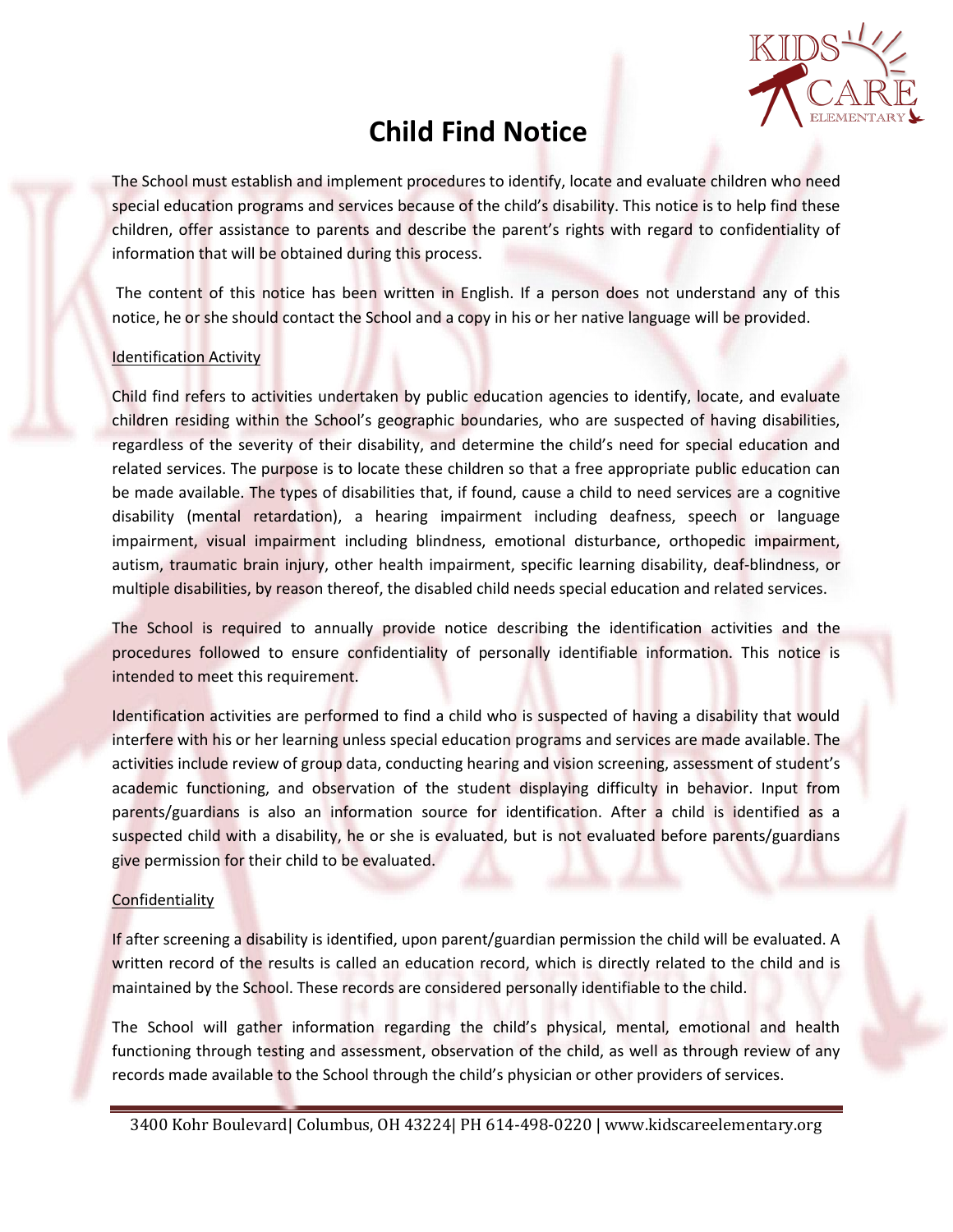

## **Child Find Notice**

The School must establish and implement procedures to identify, locate and evaluate children who need special education programs and services because of the child's disability. This notice is to help find these children, offer assistance to parents and describe the parent's rights with regard to confidentiality of information that will be obtained during this process.

The content of this notice has been written in English. If a person does not understand any of this notice, he or she should contact the School and a copy in his or her native language will be provided.

## Identification Activity

Child find refers to activities undertaken by public education agencies to identify, locate, and evaluate children residing within the School's geographic boundaries, who are suspected of having disabilities, regardless of the severity of their disability, and determine the child's need for special education and related services. The purpose is to locate these children so that a free appropriate public education can be made available. The types of disabilities that, if found, cause a child to need services are a cognitive disability (mental retardation), a hearing impairment including deafness, speech or language impairment, visual impairment including blindness, emotional disturbance, orthopedic impairment, autism, traumatic brain injury, other health impairment, specific learning disability, deaf-blindness, or multiple disabilities, by reason thereof, the disabled child needs special education and related services.

The School is required to annually provide notice describing the identification activities and the procedures followed to ensure confidentiality of personally identifiable information. This notice is intended to meet this requirement.

Identification activities are performed to find a child who is suspected of having a disability that would interfere with his or her learning unless special education programs and services are made available. The activities include review of group data, conducting hearing and vision screening, assessment of student's academic functioning, and observation of the student displaying difficulty in behavior. Input from parents/guardians is also an information source for identification. After a child is identified as a suspected child with a disability, he or she is evaluated, but is not evaluated before parents/guardians give permission for their child to be evaluated.

## **Confidentiality**

If after screening a disability is identified, upon parent/guardian permission the child will be evaluated. A written record of the results is called an education record, which is directly related to the child and is maintained by the School. These records are considered personally identifiable to the child.

The School will gather information regarding the child's physical, mental, emotional and health functioning through testing and assessment, observation of the child, as well as through review of any records made available to the School through the child's physician or other providers of services.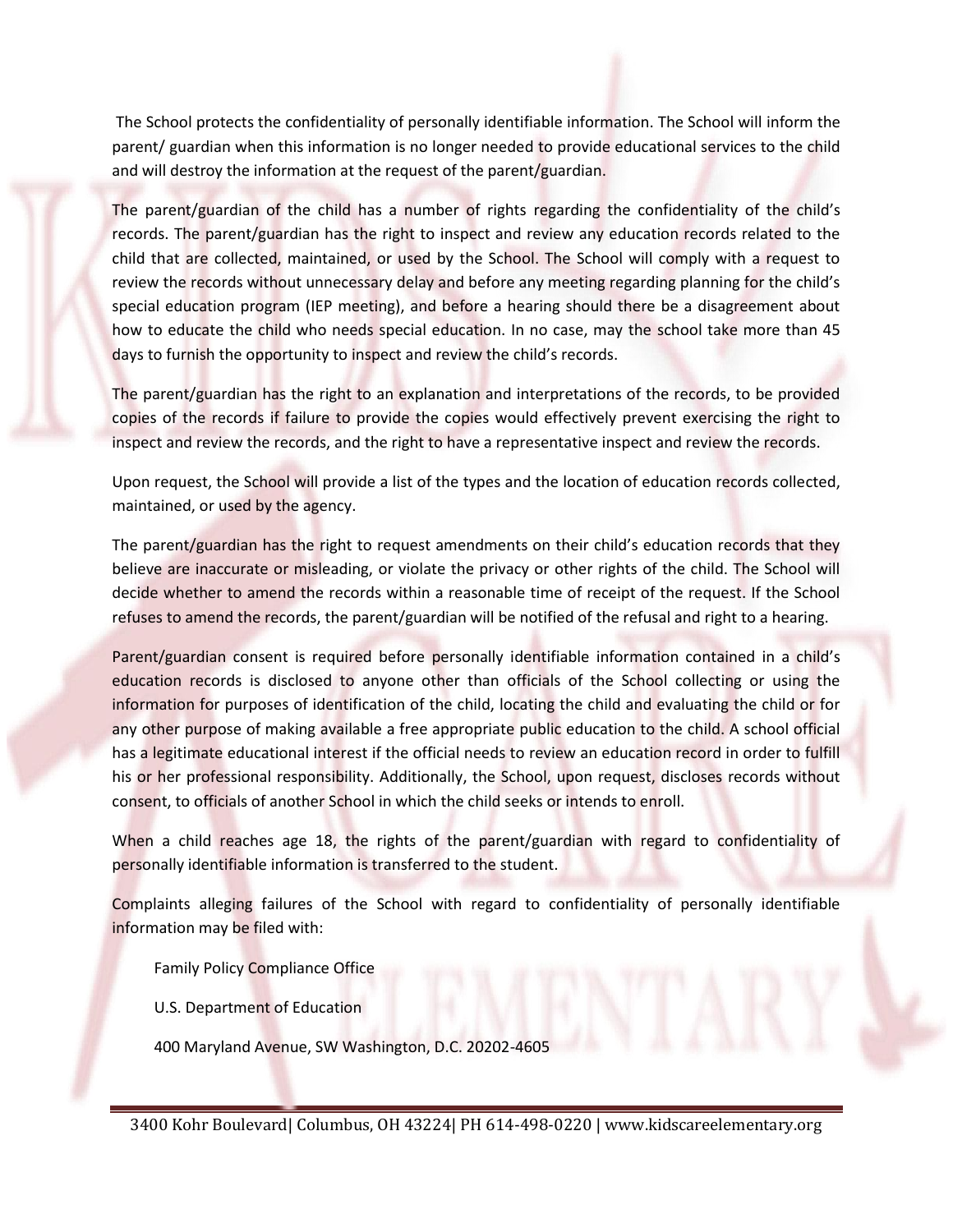The School protects the confidentiality of personally identifiable information. The School will inform the parent/ guardian when this information is no longer needed to provide educational services to the child and will destroy the information at the request of the parent/guardian.

The parent/guardian of the child has a number of rights regarding the confidentiality of the child's records. The parent/guardian has the right to inspect and review any education records related to the child that are collected, maintained, or used by the School. The School will comply with a request to review the records without unnecessary delay and before any meeting regarding planning for the child's special education program (IEP meeting), and before a hearing should there be a disagreement about how to educate the child who needs special education. In no case, may the school take more than 45 days to furnish the opportunity to inspect and review the child's records.

The parent/guardian has the right to an explanation and interpretations of the records, to be provided copies of the records if failure to provide the copies would effectively prevent exercising the right to inspect and review the records, and the right to have a representative inspect and review the records.

Upon request, the School will provide a list of the types and the location of education records collected, maintained, or used by the agency.

The parent/guardian has the right to request amendments on their child's education records that they believe are inaccurate or misleading, or violate the privacy or other rights of the child. The School will decide whether to amend the records within a reasonable time of receipt of the request. If the School refuses to amend the records, the parent/guardian will be notified of the refusal and right to a hearing.

Parent/guardian consent is required before personally identifiable information contained in a child's education records is disclosed to anyone other than officials of the School collecting or using the information for purposes of identification of the child, locating the child and evaluating the child or for any other purpose of making available a free appropriate public education to the child. A school official has a legitimate educational interest if the official needs to review an education record in order to fulfill his or her professional responsibility. Additionally, the School, upon request, discloses records without consent, to officials of another School in which the child seeks or intends to enroll.

When a child reaches age 18, the rights of the parent/guardian with regard to confidentiality of personally identifiable information is transferred to the student.

Complaints alleging failures of the School with regard to confidentiality of personally identifiable information may be filed with:

Family Policy Compliance Office

U.S. Department of Education

400 Maryland Avenue, SW Washington, D.C. 20202-4605